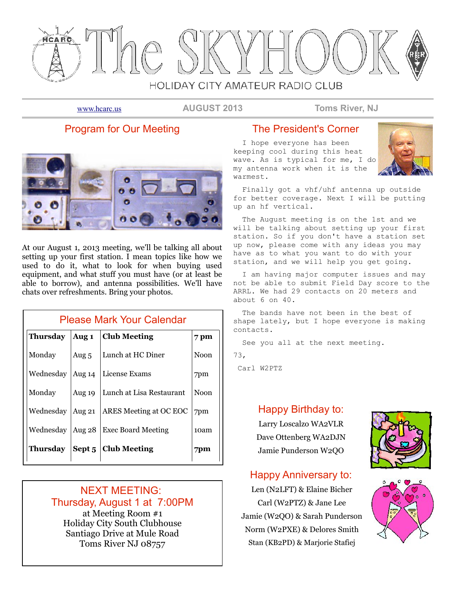

[www.hcarc.us](http://www.hcarc.us/) **AUGUST 2013 Toms River, NJ**

# Program for Our Meeting



At our August 1, 2013 meeting, we'll be talking all about setting up your first station. I mean topics like how we used to do it, what to look for when buying used equipment, and what stuff you must have (or at least be able to borrow), and antenna possibilities. We'll have chats over refreshments. Bring your photos.

| <b>Please Mark Your Calendar</b> |          |                               |             |  |  |  |
|----------------------------------|----------|-------------------------------|-------------|--|--|--|
| <b>Thursday</b>                  | Aug 1    | 7 pm                          |             |  |  |  |
| Monday                           | Aug $5$  | Lunch at HC Diner             | <b>Noon</b> |  |  |  |
| Wednesday                        | Aug $14$ | License Exams                 | 7pm         |  |  |  |
| Monday                           | Aug 19   | Lunch at Lisa Restaurant      | <b>Noon</b> |  |  |  |
| Wednesday                        | Aug $21$ | <b>ARES</b> Meeting at OC EOC | 7pm         |  |  |  |
| Wednesday                        | Aug 28   | <b>Exec Board Meeting</b>     | 10am        |  |  |  |
| Thursday                         |          | Sept 5   Club Meeting         | 7pm         |  |  |  |

## NEXT MEETING: Thursday, August 1 at 7:00PM at Meeting Room #1 Holiday City South Clubhouse Santiago Drive at Mule Road Toms River NJ 08757

# The President's Corner

 I hope everyone has been keeping cool during this heat wave. As is typical for me, I do my antenna work when it is the warmest.



 Finally got a vhf/uhf antenna up outside for better coverage. Next I will be putting up an hf vertical.

 The August meeting is on the 1st and we will be talking about setting up your first station. So if you don't have a station set up now, please come with any ideas you may have as to what you want to do with your station, and we will help you get going.

 I am having major computer issues and may not be able to submit Field Day score to the ARRL. We had 29 contacts on 20 meters and about 6 on 40.

 The bands have not been in the best of shape lately, but I hope everyone is making contacts.

See you all at the next meeting.

73,

Carl W2PTZ

## Happy Birthday to:

Larry Loscalzo WA2VLR Dave Ottenberg WA2DJN Jamie Punderson W2QO

# Happy Anniversary to:

Len (N2LFT) & Elaine Bicher Carl (W2PTZ) & Jane Lee Jamie (W2QO) & Sarah Punderson Norm (W2PXE) & Delores Smith Stan (KB2PD) & Marjorie Stafiej



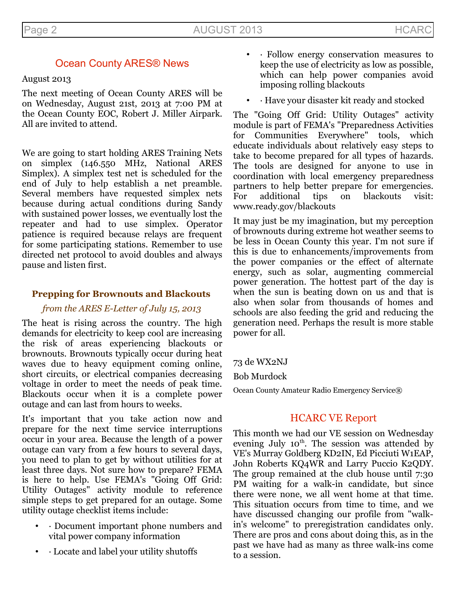# Ocean County ARES® News

## August 2013

The next meeting of Ocean County ARES will be on Wednesday, August 21st, 2013 at 7:00 PM at the Ocean County EOC, Robert J. Miller Airpark. All are invited to attend.

We are going to start holding ARES Training Nets on simplex (146.550 MHz, National ARES Simplex). A simplex test net is scheduled for the end of July to help establish a net preamble. Several members have requested simplex nets because during actual conditions during Sandy with sustained power losses, we eventually lost the repeater and had to use simplex. Operator patience is required because relays are frequent for some participating stations. Remember to use directed net protocol to avoid doubles and always pause and listen first.

## **Prepping for Brownouts and Blackouts**

## *from the ARES E-Letter of July 15, 2013*

The heat is rising across the country. The high demands for electricity to keep cool are increasing the risk of areas experiencing blackouts or brownouts. Brownouts typically occur during heat waves due to heavy equipment coming online, short circuits, or electrical companies decreasing voltage in order to meet the needs of peak time. Blackouts occur when it is a complete power outage and can last from hours to weeks.

It's important that you take action now and prepare for the next time service interruptions occur in your area. Because the length of a power outage can vary from a few hours to several days, you need to plan to get by without utilities for at least three days. Not sure how to prepare? FEMA is here to help. Use FEMA's "Going Off Grid: Utility Outages" activity module to reference simple steps to get prepared for an outage. Some utility outage checklist items include:

- · Document important phone numbers and vital power company information
- · Locate and label your utility shutoffs
- · Follow energy conservation measures to keep the use of electricity as low as possible, which can help power companies avoid imposing rolling blackouts
- · Have your disaster kit ready and stocked

The "Going Off Grid: Utility Outages" activity module is part of FEMA's "Preparedness Activities for Communities Everywhere" tools, which educate individuals about relatively easy steps to take to become prepared for all types of hazards. The tools are designed for anyone to use in coordination with local emergency preparedness partners to help better prepare for emergencies. For additional tips on blackouts visit: www.ready.gov/blackouts

It may just be my imagination, but my perception of brownouts during extreme hot weather seems to be less in Ocean County this year. I'm not sure if this is due to enhancements/improvements from the power companies or the effect of alternate energy, such as solar, augmenting commercial power generation. The hottest part of the day is when the sun is beating down on us and that is also when solar from thousands of homes and schools are also feeding the grid and reducing the generation need. Perhaps the result is more stable power for all.

73 de WX2NJ

Bob Murdock

Ocean County Amateur Radio Emergency Service®

# HCARC VE Report

This month we had our VE session on Wednesday evening July  $10^{th}$ . The session was attended by VE's Murray Goldberg KD2IN, Ed Picciuti W1EAP, John Roberts KQ4WR and Larry Puccio K2QDY. The group remained at the club house until 7:30 PM waiting for a walk-in candidate, but since there were none, we all went home at that time. This situation occurs from time to time, and we have discussed changing our profile from "walkin's welcome" to preregistration candidates only. There are pros and cons about doing this, as in the past we have had as many as three walk-ins come to a session.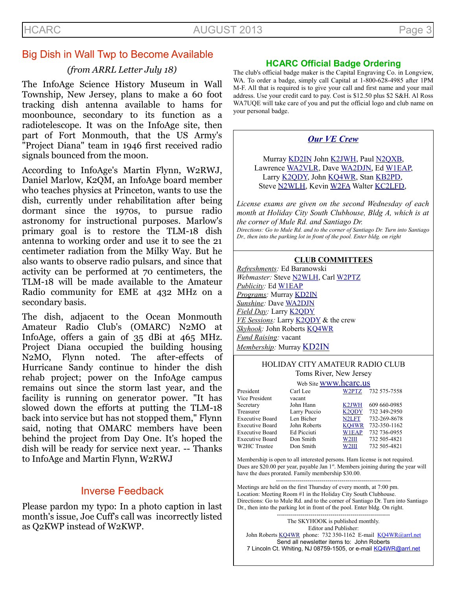# Big Dish in Wall Twp to Become Available

## *(from ARRL Letter July 18)*

The InfoAge Science History Museum in Wall Township, New Jersey, plans to make a 60 foot tracking dish antenna available to hams for moonbounce, secondary to its function as a radiotelescope. It was on the InfoAge site, then part of Fort Monmouth, that the US Army's "Project Diana" team in 1946 first received radio signals bounced from the moon.

According to InfoAge's Martin Flynn, W2RWJ, Daniel Marlow, K2QM, an InfoAge board member who teaches physics at Princeton, wants to use the dish, currently under rehabilitation after being dormant since the 1970s, to pursue radio astronomy for instructional purposes. Marlow's primary goal is to restore the TLM-18 dish antenna to working order and use it to see the 21 centimeter radiation from the Milky Way. But he also wants to observe radio pulsars, and since that activity can be performed at 70 centimeters, the TLM-18 will be made available to the Amateur Radio community for EME at 432 MHz on a secondary basis.

The dish, adjacent to the Ocean Monmouth Amateur Radio Club's (OMARC) N2MO at InfoAge, offers a gain of 35 dBi at 465 MHz. Project Diana occupied the building housing N2MO, Flynn noted. The after-effects of Hurricane Sandy continue to hinder the dish rehab project; power on the InfoAge campus remains out since the storm last year, and the facility is running on generator power. "It has slowed down the efforts at putting the TLM-18 back into service but has not stopped them," Flynn said, noting that OMARC members have been behind the project from Day One. It's hoped the dish will be ready for service next year. -- Thanks to InfoAge and Martin Flynn, W2RWJ

# Inverse Feedback

Please pardon my typo: In a photo caption in last month's issue, Joe Cuff's call was incorrectly listed as Q2KWP instead of W2KWP.

## **HCARC Official Badge Ordering**

The club's official badge maker is the Capital Engraving Co. in Longview, WA. To order a badge, simply call Capital at 1-800-628-4985 after 1PM M-F. All that is required is to give your call and first name and your mail address. Use your credit card to pay. Cost is \$12.50 plus \$2 S&H. Al Ross WA7UQE will take care of you and put the official logo and club name on your personal badge.

## *[Our VE Crew](mailto:lpuccio1@comcast.net?subject=VE)*

Murray [KD2IN](mailto:murraykd2in@comcast.net) John [K2JWH,](mailto:johnhinbarnegat@gmail.com) Paul [N2QXB,](mailto:n2qxb@hotmail.com) Lawrence [WA2VLR,](mailto:lloscalz@optonline.net) Dave [WA2DJN,](mailto:WA2DJN3@verizon.net) Ed [W1EAP,](mailto:epicciuti@hotmail.com) Larry [K2QDY,](mailto:lpuccio1@comcast.net) John [KQ4WR,](mailto:kq4wr@arrl.net) Stan [KB2PD,](mailto:kb2pd@arrl.net) Steve [N2WLH,](mailto:n2wlh@arrl.net) Kevin [W2FA](mailto:w2fa.kgw@gmail.com) Walter [KC2LFD,](mailto:wkorch@yahoo.com)

*License exams are given on the second Wednesday of each month at Holiday City South Clubhouse, Bldg A, which is at the corner of Mule Rd. and Santiago Dr. Directions: Go to Mule Rd. and to the corner of Santiago Dr. Turn into Santiago*

*Dr., then into the parking lot in front of the pool. Enter bldg. on right*

## **CLUB COMMITTEES**

*Refreshments:* Ed Baranowski *Webmaster:* Steve [N2WLH,](mailto:n2wlh@arrl.net) Carl [W2PTZ](mailto:w2ptz@arrl.net) *Publicity:* Ed [W1EAP](mailto:epicciuti@hotmail.com) *Programs:* Murray [KD2IN](mailto:murraykd2in@comcast.net) *Sunshine:* Dave [WA2DJN](mailto:wa2djn3@verizon.net) *Field Day:* Larry [K2QDY](mailto:lpuccio1@comcast.net) *VE Sessions:* Larry [K2QDY](mailto:lpuccio1@comcast.net) & the crew *Skyhook:* John Roberts [KQ4WR](mailto:kq4wr@arrl.net) *Fund Raising:* vacant *Membership:* Murray [KD2IN](mailto:murraykd2in@comcast.net)

## HOLIDAY CITY AMATEUR RADIO CLUB Toms River, New Jersey

|                        | Web Site WWW.hcarc.us |                    |              |  |  |  |  |
|------------------------|-----------------------|--------------------|--------------|--|--|--|--|
| President              | Carl Lee              | W2PTZ              | 732 575-7558 |  |  |  |  |
| Vice President         | vacant                |                    |              |  |  |  |  |
| Secretary              | John Hann             | K <sub>2</sub> JWH | 609 660-0985 |  |  |  |  |
| Treasurer              | Larry Puccio          | K <sub>2</sub> ODY | 732 349-2950 |  |  |  |  |
| <b>Executive Board</b> | Len Bicher            | N <sub>2</sub> LFT | 732-269-8678 |  |  |  |  |
| <b>Executive Board</b> | John Roberts          | KO4WR              | 732-350-1162 |  |  |  |  |
| <b>Executive Board</b> | Ed Picciuti           | <b>W1EAP</b>       | 732 736-0955 |  |  |  |  |
| <b>Executive Board</b> | Don Smith             | W <sub>2III</sub>  | 732 505-4821 |  |  |  |  |
| W2HC Trustee           | Don Smith             | W2III              | 732 505-4821 |  |  |  |  |
|                        |                       |                    |              |  |  |  |  |

Membership is open to all interested persons. Ham license is not required. Dues are \$20.00 per year, payable Jan 1<sup>st</sup>. Members joining during the year will have the dues prorated. Family membership \$30.00.

---------------------------------------------------------- Meetings are held on the first Thursday of every month, at 7:00 pm. Location: Meeting Room #1 in the Holiday City South Clubhouse. Directions: Go to Mule Rd. and to the corner of Santiago Dr. Turn into Santiago Dr., then into the parking lot in front of the pool. Enter bldg. On right. ---------------------------------------------------------

The SKYHOOK is published monthly. Editor and Publisher: John Roberts [KQ4WR](mailto:kq4wr@arrl.net) phone: 732 350-1162 E-mail [KQ4WR@arrl.net](mailto:KQ4WR@arrl.net) Send all newsletter items to: John Roberts 7 Lincoln Ct. Whiting, NJ 08759-1505, or e-mail [KQ4WR@arrl.net](mailto:KQ4WR@arrl.net)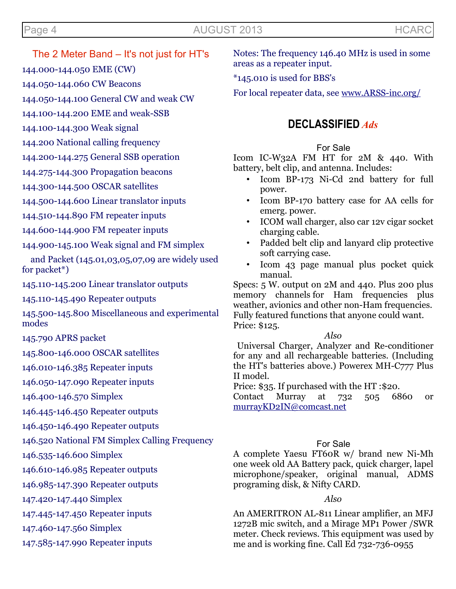# Page 4 **AUGUST 2013** AUGUST 2013

The 2 Meter Band – It's not just for HT's

144.000-144.050 EME (CW)

144.050-144.060 CW Beacons

144.050-144.100 General CW and weak CW

144.100-144.200 EME and weak-SSB

144.100-144.300 Weak signal

144.200 National calling frequency

144.200-144.275 General SSB operation

144.275-144.300 Propagation beacons

144.300-144.500 OSCAR satellites

144.500-144.600 Linear translator inputs

144.510-144.890 FM repeater inputs

144.600-144.900 FM repeater inputs

144.900-145.100 Weak signal and FM simplex

 and Packet (145.01,03,05,07,09 are widely used for packet\*)

145.110-145.200 Linear translator outputs

145.110-145.490 Repeater outputs

145.500-145.800 Miscellaneous and experimental modes

145.790 APRS packet

145.800-146.000 OSCAR satellites

146.010-146.385 Repeater inputs

146.050-147.090 Repeater inputs

146.400-146.570 Simplex

146.445-146.450 Repeater outputs

146.450-146.490 Repeater outputs

146.520 National FM Simplex Calling Frequency

146.535-146.600 Simplex

146.610-146.985 Repeater outputs

146.985-147.390 Repeater outputs

147.420-147.440 Simplex

147.445-147.450 Repeater inputs

147.460-147.560 Simplex

147.585-147.990 Repeater inputs

Notes: The frequency 146.40 MHz is used in some areas as a repeater input.

\*145.010 is used for BBS's

For local repeater data, see [www.ARSS-inc.org/](http://www.arcc-inc.org/)

# **DECLASSIFIED** *Ads*

# For Sale

Icom IC-W32A FM HT for 2M & 440. With battery, belt clip, and antenna. Includes:

- Icom BP-173 Ni-Cd 2nd battery for full power.
- Icom BP-170 battery case for AA cells for emerg. power.
- ICOM wall charger, also car 12v cigar socket charging cable.
- Padded belt clip and lanyard clip protective soft carrying case.
- Icom 43 page manual plus pocket quick manual.

Specs: 5 W. output on 2M and 440. Plus 200 plus memory channels for Ham frequencies plus weather, avionics and other non-Ham frequencies. Fully featured functions that anyone could want. Price: \$125.

*Also*

 Universal Charger, Analyzer and Re-conditioner for any and all rechargeable batteries. (Including the HT's batteries above.) Powerex MH-C777 Plus II model.

Price: \$35. If purchased with the HT :\$20.

Contact Murray at 732 505 6860 or [murrayKD2IN@comcast.net](mailto:murrayKD2IN@comcast.net)

# For Sale

A complete Yaesu FT60R w/ brand new Ni-Mh one week old AA Battery pack, quick charger, lapel microphone/speaker, original manual, ADMS programing disk, & Nifty CARD.

# *Also*

An AMERITRON AL-811 Linear amplifier, an MFJ 1272B mic switch, and a Mirage MP1 Power /SWR meter. Check reviews. This equipment was used by me and is working fine. Call Ed 732-736-0955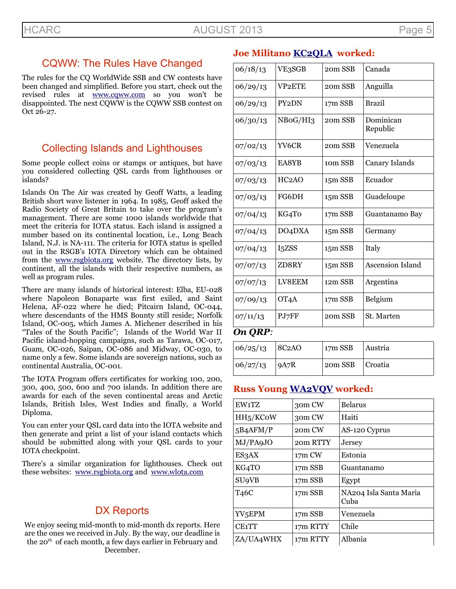# CQWW: The Rules Have Changed

The rules for the CQ WorldWide SSB and CW contests have been changed and simplified. Before you start, check out the revised rules at [www.cqww.com](http://www.cqww.com/) so you won't be disappointed. The next CQWW is the CQWW SSB contest on Oct 26-27.

# Collecting Islands and Lighthouses

Some people collect coins or stamps or antiques, but have you considered collecting QSL cards from lighthouses or islands?

Islands On The Air was created by Geoff Watts, a leading British short wave listener in 1964. In 1985, Geoff asked the Radio Society of Great Britain to take over the program's management. There are some 1000 islands worldwide that meet the criteria for IOTA status. Each island is assigned a number based on its continental location, i.e., Long Beach Island, N.J. is NA-111. The criteria for IOTA status is spelled out in the RSGB's IOTA Directory which can be obtained from the [www.rsgbiota.org](http://www.rsgbiota.org/) website. The directory lists, by continent, all the islands with their respective numbers, as well as program rules.

There are many islands of historical interest: Elba, EU-028 where Napoleon Bonaparte was first exiled, and Saint Helena, AF-022 where he died; Pitcairn Island, OC-044, where descendants of the HMS Bounty still reside; Norfolk Island, OC-005, which James A. Michener described in his "Tales of the South Pacific"; Islands of the World War II Pacific island-hopping campaigns, such as Tarawa, OC-017, Guam, OC-026, Saipan, OC-086 and Midway, OC-030, to name only a few. Some islands are sovereign nations, such as continental Australia, OC-001.

The IOTA Program offers certificates for working 100, 200, 300, 400, 500, 600 and 700 islands. In addition there are awards for each of the seven continental areas and Arctic Islands, British Isles, West Indies and finally, a World Diploma.

You can enter your QSL card data into the IOTA website and then generate and print a list of your island contacts which should be submitted along with your QSL cards to your IOTA checkpoint.

There's a similar organization for lighthouses. Check out these websites: [www.rsgbiota.org](http://www.rsgbiota.org/) and [www.wlota.com](http://www.wlota.com/)

# DX Reports

We enjoy seeing mid-month to mid-month dx reports. Here are the ones we received in July. By the way, our deadline is the 20<sup>th</sup> of each month, a few days earlier in February and December.

# **Joe Militano [KC2QLA](mailto:KC2QLA@verizon.net) worked:**

| 06/18/13 | VE3SGB               | 20m SSB             | Canada                |
|----------|----------------------|---------------------|-----------------------|
| 06/29/13 | VP <sub>2</sub> ETE  | 20m SSB             | Anguilla              |
| 06/29/13 | PY <sub>2</sub> DN   | 17m SSB             | <b>Brazil</b>         |
| 06/30/13 | NBoG/HI <sub>3</sub> | 20m SSB             | Dominican<br>Republic |
| 07/02/13 | YV6CR                | 20m SSB             | Venezuela             |
| 07/03/13 | EA8YB                | 10 <sub>m</sub> SSB | Canary Islands        |
| 07/03/13 | HC <sub>2</sub> AO   | 15m SSB             | Ecuador               |
| 07/03/13 | FG6DH                | 15m SSB             | Guadeloupe            |
| 07/04/13 | KG4To                | 17m SSB             | Guantanamo Bay        |
| 07/04/13 | DO <sub>4</sub> DXA  | 15m SSB             | Germany               |
| 07/04/13 | I5ZSS                | 15m SSB             | Italy                 |
| 07/07/13 | ZD8RY                | 15m SSB             | Ascension Island      |
| 07/07/13 | LV8EEM               | 12m SSB             | Argentina             |
| 07/09/13 | OT <sub>4</sub> A    | 17m SSB             | Belgium               |
| 07/11/13 | PJ7FF                | 20m SSB             | St. Marten            |

## *On QRP:*

| $ 06/25/13 $ $ 8C2AO $ | $\vert$ 17m SSB $\vert$ Austria |  |
|------------------------|---------------------------------|--|
| $ 06/27/13 $ $ 9A7R $  | 20m SSB   Croatia               |  |

## **Russ Young [WA2VQV](mailto:WA2VQV@aol.com) worked:**

| EW1TZ                   | 30m CW   | Belarus                        |
|-------------------------|----------|--------------------------------|
| HH <sub>5</sub> /KCoW   | 30m CW   | Haiti                          |
| 5B4AFM/P                | 20m CW   | AS-120 Cyprus                  |
| MJ/PA9JO                | 20m RTTY | Jersey                         |
| ES3AX                   | 17m CW   | Estonia                        |
| KG4TO                   | 17m SSB  | Guantanamo                     |
| <b>SU<sub>9</sub>VB</b> | 17m SSB  | Egypt                          |
| T <sub>46</sub> C       | 17m SSB  | NA204 Isla Santa Maria<br>Cuba |
| YV5EPM                  | 17m SSB  | Venezuela                      |
| CE <sub>1</sub> TT      | 17m RTTY | Chile                          |
| ZA/UA4WHX               | 17m RTTY | Albania                        |